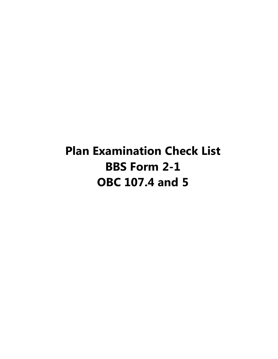**Plan Examination Check List BBS Form 2-1 OBC 107.4 and 5**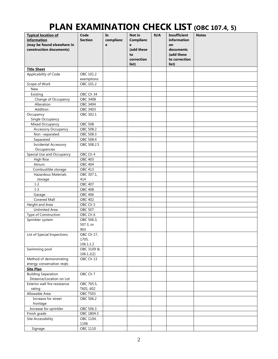## **PLAN EXAMINATION CHECK LIST (OBC 107.4, 5)**

| <b>Typical location of</b>    | Code                | In        | Not in           | N/A | <b>Insufficient</b> | <b>Notes</b> |
|-------------------------------|---------------------|-----------|------------------|-----|---------------------|--------------|
| information                   | <b>Section</b>      | complianc | <b>Complianc</b> |     | information         |              |
| (may be found elsewhere in    |                     | e         | e                |     | on                  |              |
| construction documents)       |                     |           | (add these       |     | documents           |              |
|                               |                     |           | to               |     | (add these          |              |
|                               |                     |           | correction       |     | to correction       |              |
|                               |                     |           | list)            |     | list)               |              |
| <b>Title Sheet</b>            |                     |           |                  |     |                     |              |
| Applicability of Code         | OBC 101.2           |           |                  |     |                     |              |
|                               | exemptions          |           |                  |     |                     |              |
| Scope of Work                 | OBC 101.2           |           |                  |     |                     |              |
| New                           |                     |           |                  |     |                     |              |
| Existing                      | OBC Ch 34           |           |                  |     |                     |              |
| Change of Occupancy           | <b>OBC 3408</b>     |           |                  |     |                     |              |
| Alteration                    | OBC 3404            |           |                  |     |                     |              |
| Addition                      | OBC 3403            |           |                  |     |                     |              |
| Occupancy                     | OBC 302.1           |           |                  |     |                     |              |
| Single Occupancy              |                     |           |                  |     |                     |              |
| Mixed Occupancy               | <b>OBC 508</b>      |           |                  |     |                     |              |
| Accessory Occupancy           | OBC 508.2           |           |                  |     |                     |              |
| Non-separated                 | OBC 508.3           |           |                  |     |                     |              |
| Separated                     | OBC 508.4           |           |                  |     |                     |              |
| Incidental Accessory          | OBC 508.2.5         |           |                  |     |                     |              |
| Occupancies                   |                     |           |                  |     |                     |              |
| Special Use and Occupancy     | OBC Ch 4            |           |                  |     |                     |              |
| High Rise                     | <b>OBC 403</b>      |           |                  |     |                     |              |
| Atrium                        | <b>OBC 404</b>      |           |                  |     |                     |              |
| Combustible storage           | OBC 413             |           |                  |     |                     |              |
| Hazardous Materials           | OBC 307.1,          |           |                  |     |                     |              |
| storage                       | 414                 |           |                  |     |                     |              |
| $I-2$                         | <b>OBC 407</b>      |           |                  |     |                     |              |
| $I-3$                         | <b>OBC 408</b>      |           |                  |     |                     |              |
| Garage                        | <b>OBC 406</b>      |           |                  |     |                     |              |
| Covered Mall                  | <b>OBC 402</b>      |           |                  |     |                     |              |
| Height and Area               | OBC Ch <sub>5</sub> |           |                  |     |                     |              |
| <b>Unlimited Area</b>         | <b>OBC 507</b>      |           |                  |     |                     |              |
| Type of Construction          | OBC Ch 6            |           |                  |     |                     |              |
| Sprinkler system              | OBC 506.3,          |           |                  |     |                     |              |
|                               | 507.3, or           |           |                  |     |                     |              |
|                               | 903                 |           |                  |     |                     |              |
| List of Special Inspections   | OBC Ch 17,          |           |                  |     |                     |              |
|                               | 1705,               |           |                  |     |                     |              |
|                               | 106.1.1.2           |           |                  |     |                     |              |
| Swimming pool                 | OBC 3109 &          |           |                  |     |                     |              |
|                               | 106.1.2(2)          |           |                  |     |                     |              |
| Method of demonstrating       | OBC Ch 13           |           |                  |     |                     |              |
| energy conservation reqts     |                     |           |                  |     |                     |              |
| <b>Site Plan</b>              |                     |           |                  |     |                     |              |
| <b>Building Separation</b>    | OBC Ch 7            |           |                  |     |                     |              |
| Distance/Location on Lot      |                     |           |                  |     |                     |              |
| Exterior wall fire resistance | OBC 705.5,          |           |                  |     |                     |              |
| rating                        | T601, 602           |           |                  |     |                     |              |
| Allowable Area                | <b>OBC T503</b>     |           |                  |     |                     |              |
| Increase for street           | OBC 506.2           |           |                  |     |                     |              |
| frontage                      |                     |           |                  |     |                     |              |
| Increase for sprinkler        | OBC 506.3           |           |                  |     |                     |              |
| Finish grade                  | OBC 1804.3          |           |                  |     |                     |              |
| Site Accessibility            | OBC 1104,           |           |                  |     |                     |              |
|                               | 1106                |           |                  |     |                     |              |
| Signage                       | OBC 1110            |           |                  |     |                     |              |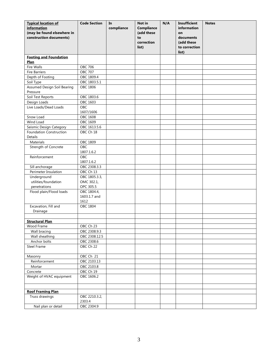| <b>Typical location of</b><br><i>information</i><br>(may be found elsewhere in<br>construction documents) | <b>Code Section</b>                 | In<br>compliance | Not in<br><b>Compliance</b><br>(add these<br>to<br>correction<br>list) | N/A | <b>Insufficient</b><br>information<br>on<br>documents<br>(add these<br>to correction<br>list) | <b>Notes</b> |
|-----------------------------------------------------------------------------------------------------------|-------------------------------------|------------------|------------------------------------------------------------------------|-----|-----------------------------------------------------------------------------------------------|--------------|
| <b>Footing and Foundation</b>                                                                             |                                     |                  |                                                                        |     |                                                                                               |              |
| Plan                                                                                                      |                                     |                  |                                                                        |     |                                                                                               |              |
| Fire Walls                                                                                                | OBC 706                             |                  |                                                                        |     |                                                                                               |              |
| <b>Fire Barriers</b>                                                                                      | <b>OBC 707</b>                      |                  |                                                                        |     |                                                                                               |              |
| Depth of Footing                                                                                          | OBC 1809.4                          |                  |                                                                        |     |                                                                                               |              |
| Soil Type                                                                                                 | OBC 1803.5.1                        |                  |                                                                        |     |                                                                                               |              |
| Assumed Design Soil Bearing<br>Pressure                                                                   | <b>OBC 1806</b>                     |                  |                                                                        |     |                                                                                               |              |
| Soil Test Reports                                                                                         | OBC 1803.6                          |                  |                                                                        |     |                                                                                               |              |
| Design Loads                                                                                              | OBC 1603                            |                  |                                                                        |     |                                                                                               |              |
| Live Loads/Dead Loads                                                                                     | OBC                                 |                  |                                                                        |     |                                                                                               |              |
|                                                                                                           | 1607/1606                           |                  |                                                                        |     |                                                                                               |              |
| Snow Load                                                                                                 | OBC 1608                            |                  |                                                                        |     |                                                                                               |              |
| Wind Load                                                                                                 | OBC 1609                            |                  |                                                                        |     |                                                                                               |              |
| Seismic Design Category                                                                                   | OBC 1613.5.6                        |                  |                                                                        |     |                                                                                               |              |
| Foundation Construction<br>Details                                                                        | OBC Ch 18                           |                  |                                                                        |     |                                                                                               |              |
| Materials                                                                                                 | OBC 1809                            |                  |                                                                        |     |                                                                                               |              |
| Strength of Concrete                                                                                      | OBC                                 |                  |                                                                        |     |                                                                                               |              |
|                                                                                                           | 1807.1.6.2                          |                  |                                                                        |     |                                                                                               |              |
| Reinforcement                                                                                             | <b>OBC</b><br>1807.1.6.2            |                  |                                                                        |     |                                                                                               |              |
| Sill anchorage                                                                                            | OBC 2308.3.3                        |                  |                                                                        |     |                                                                                               |              |
| Perimeter Insulation                                                                                      | OBC Ch 13                           |                  |                                                                        |     |                                                                                               |              |
| Underground                                                                                               | OBC 1805.3.3,                       |                  |                                                                        |     |                                                                                               |              |
| utilities/foundation                                                                                      | OMC 302.1,                          |                  |                                                                        |     |                                                                                               |              |
| penetrations                                                                                              | OPC 305.5                           |                  |                                                                        |     |                                                                                               |              |
| Flood plain/Flood loads                                                                                   | OBC 1804.4,<br>1603.1.7 and<br>1612 |                  |                                                                        |     |                                                                                               |              |
| Excavation, Fill and                                                                                      | <b>OBC 1804</b>                     |                  |                                                                        |     |                                                                                               |              |
| Drainage                                                                                                  |                                     |                  |                                                                        |     |                                                                                               |              |
|                                                                                                           |                                     |                  |                                                                        |     |                                                                                               |              |
| <b>Structural Plan</b>                                                                                    |                                     |                  |                                                                        |     |                                                                                               |              |
| Wood Frame                                                                                                | OBC Ch 23                           |                  |                                                                        |     |                                                                                               |              |
| Wall bracing                                                                                              | OBC 2308.9.3                        |                  |                                                                        |     |                                                                                               |              |
| Wall sheathing                                                                                            | OBC 2308.12.5                       |                  |                                                                        |     |                                                                                               |              |
| Anchor bolts                                                                                              | OBC 2308.6                          |                  |                                                                        |     |                                                                                               |              |
| Steel Frame                                                                                               | OBC Ch 22                           |                  |                                                                        |     |                                                                                               |              |
| Masonry                                                                                                   | OBC Ch 21                           |                  |                                                                        |     |                                                                                               |              |
| Reinforcement                                                                                             | OBC 2103.13                         |                  |                                                                        |     |                                                                                               |              |
| Mortar                                                                                                    | OBC 2103.8                          |                  |                                                                        |     |                                                                                               |              |
| Concrete                                                                                                  | OBC Ch 19                           |                  |                                                                        |     |                                                                                               |              |
| Weight of HVAC equipment                                                                                  | OBC 1606.2                          |                  |                                                                        |     |                                                                                               |              |
|                                                                                                           |                                     |                  |                                                                        |     |                                                                                               |              |
| <b>Roof Framing Plan</b>                                                                                  |                                     |                  |                                                                        |     |                                                                                               |              |
| Truss drawings                                                                                            | OBC 2210.3.2,                       |                  |                                                                        |     |                                                                                               |              |
|                                                                                                           | 2303.4                              |                  |                                                                        |     |                                                                                               |              |
| Nail plan or detail                                                                                       | OBC 2304.9                          |                  |                                                                        |     |                                                                                               |              |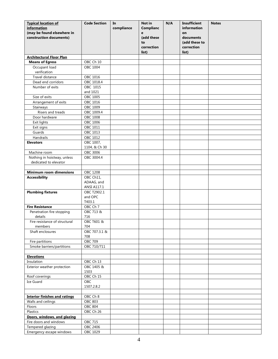| <b>Typical location of</b>           | <b>Code Section</b>       | In         | Not in           | N/A | <b>Insufficient</b> | <b>Notes</b> |
|--------------------------------------|---------------------------|------------|------------------|-----|---------------------|--------------|
| <i>information</i>                   |                           | compliance | <b>Complianc</b> |     | information         |              |
| (may be found elsewhere in           |                           |            | e                |     | on                  |              |
| construction documents)              |                           |            | (add these       |     | documents           |              |
|                                      |                           |            | to               |     | (add these to       |              |
|                                      |                           |            | correction       |     | correction          |              |
|                                      |                           |            | list)            |     | list)               |              |
| <b>Architectural Floor Plan</b>      |                           |            |                  |     |                     |              |
| <b>Means of Egress</b>               | OBC Ch 10                 |            |                  |     |                     |              |
| Occupant load                        | OBC 1004                  |            |                  |     |                     |              |
| verification                         |                           |            |                  |     |                     |              |
| Travel distance                      | OBC 1016                  |            |                  |     |                     |              |
| Dead end corridors                   | OBC 1018.4                |            |                  |     |                     |              |
| Number of exits                      | OBC 1015                  |            |                  |     |                     |              |
|                                      | and 1021                  |            |                  |     |                     |              |
| Size of exits                        | OBC 1005                  |            |                  |     |                     |              |
| Arrangement of exits                 | OBC 1016                  |            |                  |     |                     |              |
| Stairways                            | OBC 1009                  |            |                  |     |                     |              |
| Risers and treads                    | OBC 1009.4                |            |                  |     |                     |              |
| Door hardware                        | <b>OBC 1008</b>           |            |                  |     |                     |              |
| Exit lights                          | OBC 1006                  |            |                  |     |                     |              |
| Exit signs                           | OBC 1011                  |            |                  |     |                     |              |
| Guards                               | OBC 1013                  |            |                  |     |                     |              |
| Handrails                            | OBC 1012                  |            |                  |     |                     |              |
| <b>Elevators</b>                     | OBC 1007,                 |            |                  |     |                     |              |
|                                      | 1104, & Ch 30             |            |                  |     |                     |              |
| Machine room                         | <b>OBC 3006</b>           |            |                  |     |                     |              |
| Nothing in hoistway, unless          | OBC 3004.4                |            |                  |     |                     |              |
| dedicated to elevator                |                           |            |                  |     |                     |              |
|                                      |                           |            |                  |     |                     |              |
| <b>Minimum room dimensions</b>       | OBC 1208                  |            |                  |     |                     |              |
| <b>Accessibility</b>                 | OBC Ch11,                 |            |                  |     |                     |              |
|                                      | ADAAG, and<br>ANSI A117.1 |            |                  |     |                     |              |
| <b>Plumbing fixtures</b>             | OBC T2902.1               |            |                  |     |                     |              |
|                                      | and OPC                   |            |                  |     |                     |              |
|                                      | T403.1                    |            |                  |     |                     |              |
| <b>Fire Resistance</b>               | OBC Ch 7                  |            |                  |     |                     |              |
| Penetration fire stopping            | OBC 713 &                 |            |                  |     |                     |              |
| details                              | 716                       |            |                  |     |                     |              |
| Fire resistance of structural        | OBC T601 &                |            |                  |     |                     |              |
| members                              | 704                       |            |                  |     |                     |              |
| Shaft enclosures                     | OBC 707.3.1 &             |            |                  |     |                     |              |
|                                      | 708                       |            |                  |     |                     |              |
| Fire partitions                      | <b>OBC 709</b>            |            |                  |     |                     |              |
| Smoke barriers/partitions            | OBC 710/711               |            |                  |     |                     |              |
|                                      |                           |            |                  |     |                     |              |
| <b>Elevations</b>                    |                           |            |                  |     |                     |              |
| Insulation                           | OBC Ch 13                 |            |                  |     |                     |              |
| Exterior weather protection          | OBC 1405 &                |            |                  |     |                     |              |
|                                      | 1503                      |            |                  |     |                     |              |
| Roof coverings                       | OBC Ch 15                 |            |                  |     |                     |              |
| Ice Guard                            | <b>OBC</b>                |            |                  |     |                     |              |
|                                      | 1507.2.8.2                |            |                  |     |                     |              |
|                                      |                           |            |                  |     |                     |              |
| <b>Interior finishes and ratings</b> | OBC Ch 8                  |            |                  |     |                     |              |
| Walls and ceilings                   | <b>OBC 803</b>            |            |                  |     |                     |              |
| Floors                               | <b>OBC 804</b>            |            |                  |     |                     |              |
| Plastics                             | OBC Ch 26                 |            |                  |     |                     |              |
| Doors, windows, and glazing          |                           |            |                  |     |                     |              |
| Fire doors and windows               | OBC 715                   |            |                  |     |                     |              |
| Tempered glazing                     | OBC 2406                  |            |                  |     |                     |              |
| Emergency escape windows             | OBC 1029                  |            |                  |     |                     |              |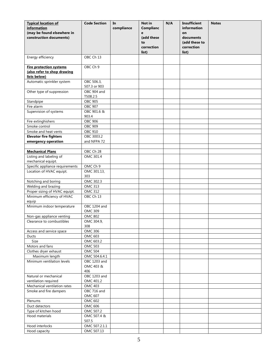| <b>Typical location of</b>                   | <b>Code Section</b>           | In         | Not in           | N/A | <b>Insufficient</b> | <b>Notes</b> |
|----------------------------------------------|-------------------------------|------------|------------------|-----|---------------------|--------------|
| information                                  |                               | compliance | <b>Complianc</b> |     | information         |              |
| (may be found elsewhere in                   |                               |            | e                |     | on                  |              |
| construction documents)                      |                               |            | (add these       |     | documents           |              |
|                                              |                               |            | to               |     | (add these to       |              |
|                                              |                               |            | correction       |     | correction          |              |
|                                              |                               |            | list)            |     | list)               |              |
| Energy efficiency                            | OBC Ch 13                     |            |                  |     |                     |              |
|                                              |                               |            |                  |     |                     |              |
| <b>Fire protection systems</b>               | OBC Ch 9                      |            |                  |     |                     |              |
| (also refer to shop drawing                  |                               |            |                  |     |                     |              |
| lists below)                                 |                               |            |                  |     |                     |              |
| Automatic sprinkler system                   | OBC 506.3,<br>507.3 or 903    |            |                  |     |                     |              |
| Other type of suppression                    | OBC 904 and                   |            |                  |     |                     |              |
|                                              | T508.2.5                      |            |                  |     |                     |              |
| Standpipe                                    | <b>OBC 905</b>                |            |                  |     |                     |              |
| Fire alarm                                   | <b>OBC 907</b>                |            |                  |     |                     |              |
| Supervision of systems                       | OBC 901.6 &                   |            |                  |     |                     |              |
|                                              | 903.4                         |            |                  |     |                     |              |
| Fire extinghishers                           | OBC 906                       |            |                  |     |                     |              |
| Smoke control                                | OBC 909                       |            |                  |     |                     |              |
| Smoke and heat vents                         | <b>OBC 910</b>                |            |                  |     |                     |              |
| <b>Elevator fire fighters</b>                | OBC 3003.2                    |            |                  |     |                     |              |
| emergency operation                          | and NFPA 72                   |            |                  |     |                     |              |
|                                              |                               |            |                  |     |                     |              |
| <b>Mechanical Plans</b>                      | OBC Ch 28                     |            |                  |     |                     |              |
| Listing and labeling of                      | OMC 301.4                     |            |                  |     |                     |              |
| mechanical equipt.                           |                               |            |                  |     |                     |              |
| Specific appliance requirements              | OMC Ch 9                      |            |                  |     |                     |              |
| Location of HVAC equipt.                     | OMC 301.13,                   |            |                  |     |                     |              |
|                                              | 303                           |            |                  |     |                     |              |
| Notching and boring                          | OMC 302.3                     |            |                  |     |                     |              |
| Welding and brazing                          | <b>OMC 313</b>                |            |                  |     |                     |              |
| Proper sizing of HVAC equipt.                | <b>OMC 312</b>                |            |                  |     |                     |              |
| Minimum efficiency of HVAC                   | OBC Ch 13                     |            |                  |     |                     |              |
| equip                                        |                               |            |                  |     |                     |              |
| Minimum indoor temperature                   | OBC 1204 and                  |            |                  |     |                     |              |
|                                              | <b>OMC 309</b>                |            |                  |     |                     |              |
| Non-gas appliance venting                    | <b>OMC 802</b>                |            |                  |     |                     |              |
| Clearance to combustibles                    | OMC 304.9,                    |            |                  |     |                     |              |
|                                              | 308                           |            |                  |     |                     |              |
| Access and service space                     | <b>OMC 306</b>                |            |                  |     |                     |              |
| Ducts                                        | <b>OMC 603</b>                |            |                  |     |                     |              |
| Size                                         | OMC 603.2                     |            |                  |     |                     |              |
| Motors and fans                              | <b>OMC 503</b>                |            |                  |     |                     |              |
| Clothes dryer exhaust                        | OMC 504                       |            |                  |     |                     |              |
| Maximum length<br>Minimum ventilation levels | OMC 504.6.4.1<br>OBC 1203 and |            |                  |     |                     |              |
|                                              | OMC 403 &                     |            |                  |     |                     |              |
|                                              | 406                           |            |                  |     |                     |              |
| Natural or mechanical                        | OBC 1203 and                  |            |                  |     |                     |              |
| ventilation required                         | OMC 401.2                     |            |                  |     |                     |              |
| Mechanical ventilation rates                 | <b>OMC 403</b>                |            |                  |     |                     |              |
| Smoke and fire dampers                       | OBC 716 and                   |            |                  |     |                     |              |
|                                              | OMC 607                       |            |                  |     |                     |              |
| Plenums                                      | OMC 602                       |            |                  |     |                     |              |
| Duct detectors                               | OMC 606                       |            |                  |     |                     |              |
| Type of kitchen hood                         | OMC 507.2                     |            |                  |     |                     |              |
| Hood materials                               | OMC 507.4 &                   |            |                  |     |                     |              |
|                                              | 507.5                         |            |                  |     |                     |              |
| Hood interlocks                              | OMC 507.2.1.1                 |            |                  |     |                     |              |
| Hood capacity                                | OMC 507.13                    |            |                  |     |                     |              |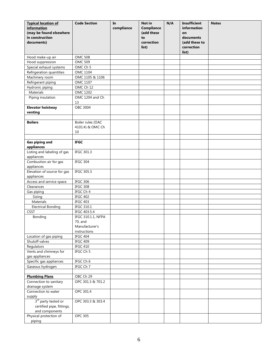| <b>Typical location of</b><br>information<br>(may be found elsewhere<br>in construction<br>documents) | <b>Code Section</b>                         | In<br>compliance | Not in<br><b>Compliance</b><br>(add these<br>to<br>correction<br>list) | N/A | <b>Insufficient</b><br>information<br>on<br>documents<br>(add these to<br>correction<br>list) | <b>Notes</b> |
|-------------------------------------------------------------------------------------------------------|---------------------------------------------|------------------|------------------------------------------------------------------------|-----|-----------------------------------------------------------------------------------------------|--------------|
| Hood make-up air                                                                                      | <b>OMC 508</b>                              |                  |                                                                        |     |                                                                                               |              |
| Hood suppression                                                                                      | <b>OMC 509</b>                              |                  |                                                                        |     |                                                                                               |              |
| Special exhaust systems                                                                               | OMC Ch 5                                    |                  |                                                                        |     |                                                                                               |              |
| Refrigeration quantities                                                                              | OMC 1104                                    |                  |                                                                        |     |                                                                                               |              |
| Machinery room                                                                                        | OMC 1105 & 1106                             |                  |                                                                        |     |                                                                                               |              |
| Refrigerant piping                                                                                    | OMC 1107                                    |                  |                                                                        |     |                                                                                               |              |
| Hydronic piping                                                                                       | OMC Ch 12                                   |                  |                                                                        |     |                                                                                               |              |
| Materials                                                                                             | OMC 1202                                    |                  |                                                                        |     |                                                                                               |              |
| Piping insulation                                                                                     | OMC 1204 and Ch<br>13                       |                  |                                                                        |     |                                                                                               |              |
| <b>Elevator hoistway</b><br>venting                                                                   | OBC 3004                                    |                  |                                                                        |     |                                                                                               |              |
|                                                                                                       |                                             |                  |                                                                        |     |                                                                                               |              |
| <b>Boilers</b>                                                                                        | Boiler rules (OAC<br>4101:4) & OMC Ch<br>10 |                  |                                                                        |     |                                                                                               |              |
|                                                                                                       |                                             |                  |                                                                        |     |                                                                                               |              |
| <b>Gas piping and</b><br>appliances                                                                   | <b>IFGC</b>                                 |                  |                                                                        |     |                                                                                               |              |
| Listing and labeling of gas<br>appliances                                                             | IFGC 301.3                                  |                  |                                                                        |     |                                                                                               |              |
| Combustion air for gas<br>appliances                                                                  | IFGC 304                                    |                  |                                                                        |     |                                                                                               |              |
| Elevation of source for gas<br>appliances                                                             | IFGC 305.3                                  |                  |                                                                        |     |                                                                                               |              |
| Access and service space                                                                              | <b>IFGC 306</b>                             |                  |                                                                        |     |                                                                                               |              |
| Clearances                                                                                            | IFGC 308                                    |                  |                                                                        |     |                                                                                               |              |
| Gas piping                                                                                            | IFGC Ch 4                                   |                  |                                                                        |     |                                                                                               |              |
| Sizing                                                                                                | IFGC 402                                    |                  |                                                                        |     |                                                                                               |              |
| Materials                                                                                             | IFGC 403                                    |                  |                                                                        |     |                                                                                               |              |
| <b>Electrical Bonding</b>                                                                             | IFGC 310.1                                  |                  |                                                                        |     |                                                                                               |              |
| <b>CSST</b>                                                                                           | IFGC 403.5.4                                |                  |                                                                        |     |                                                                                               |              |
| Bonding                                                                                               | IFGC 310.1.1, NFPA<br>70, and               |                  |                                                                        |     |                                                                                               |              |
|                                                                                                       | Manufacturer's                              |                  |                                                                        |     |                                                                                               |              |
|                                                                                                       | instructions                                |                  |                                                                        |     |                                                                                               |              |
| Location of gas piping                                                                                | IFGC 404                                    |                  |                                                                        |     |                                                                                               |              |
| Shutoff valves                                                                                        | <b>IFGC 409</b>                             |                  |                                                                        |     |                                                                                               |              |
| Regulators                                                                                            | IFGC 410                                    |                  |                                                                        |     |                                                                                               |              |
| Vents and chimneys for<br>gas appliances                                                              | IFGC Ch 5                                   |                  |                                                                        |     |                                                                                               |              |
| Specific gas appliances                                                                               | IFGC Ch 6                                   |                  |                                                                        |     |                                                                                               |              |
| Gaseous hydrogen                                                                                      | IFGC Ch 7                                   |                  |                                                                        |     |                                                                                               |              |
|                                                                                                       |                                             |                  |                                                                        |     |                                                                                               |              |
| <b>Plumbing Plans</b>                                                                                 | OBC Ch 29                                   |                  |                                                                        |     |                                                                                               |              |
| Connection to sanitary<br>drainage system                                                             | OPC 301.3 & 701.2                           |                  |                                                                        |     |                                                                                               |              |
| Connection to water<br>supply                                                                         | OPC 301.4                                   |                  |                                                                        |     |                                                                                               |              |
| 3rd party tested or<br>certified pipe, fittings,<br>and components                                    | OPC 303.3 & 303.4                           |                  |                                                                        |     |                                                                                               |              |
| Physical protection of<br>piping                                                                      | <b>OPC 305</b>                              |                  |                                                                        |     |                                                                                               |              |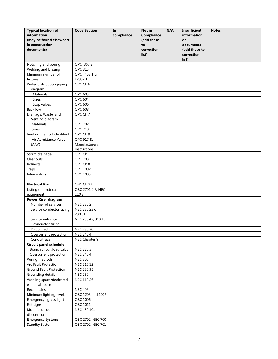| <b>Typical location of</b><br>information<br>(may be found elsewhere<br>in construction<br>documents) | <b>Code Section</b>     | In<br>compliance | Not in<br><b>Compliance</b><br>(add these<br>to<br>correction<br>list) | N/A | <b>Insufficient</b><br>information<br>on<br>documents<br>(add these to<br>correction | <b>Notes</b> |
|-------------------------------------------------------------------------------------------------------|-------------------------|------------------|------------------------------------------------------------------------|-----|--------------------------------------------------------------------------------------|--------------|
|                                                                                                       |                         |                  |                                                                        |     | list)                                                                                |              |
| Notching and boring                                                                                   | OPC 307.2               |                  |                                                                        |     |                                                                                      |              |
| Welding and brazing                                                                                   | <b>OPC 315</b>          |                  |                                                                        |     |                                                                                      |              |
| Minimum number of                                                                                     | OPC T403.1 &            |                  |                                                                        |     |                                                                                      |              |
| fixtures                                                                                              | T2902.1                 |                  |                                                                        |     |                                                                                      |              |
| Water distribution piping                                                                             | OPC Ch 6                |                  |                                                                        |     |                                                                                      |              |
| diagram                                                                                               |                         |                  |                                                                        |     |                                                                                      |              |
| Materials<br><b>Sizes</b>                                                                             | OPC 605<br>OPC 604      |                  |                                                                        |     |                                                                                      |              |
|                                                                                                       | OPC 606                 |                  |                                                                        |     |                                                                                      |              |
| Stop valves<br><b>Backflow</b>                                                                        | <b>OPC 608</b>          |                  |                                                                        |     |                                                                                      |              |
| Drainage, Waste, and                                                                                  | OPC Ch 7                |                  |                                                                        |     |                                                                                      |              |
| Venting diagram                                                                                       |                         |                  |                                                                        |     |                                                                                      |              |
| Materials                                                                                             | <b>OPC 702</b>          |                  |                                                                        |     |                                                                                      |              |
| <b>Sizes</b>                                                                                          | OPC 710                 |                  |                                                                        |     |                                                                                      |              |
| Venting method identified                                                                             | OPC Ch 9                |                  |                                                                        |     |                                                                                      |              |
| Air Admittance Valve                                                                                  | OPC 917 &               |                  |                                                                        |     |                                                                                      |              |
| (AAV)                                                                                                 | Manufacturer's          |                  |                                                                        |     |                                                                                      |              |
|                                                                                                       | Instructions            |                  |                                                                        |     |                                                                                      |              |
| Storm drainage                                                                                        | OPC Ch 11               |                  |                                                                        |     |                                                                                      |              |
| Cleanouts                                                                                             | <b>OPC 708</b>          |                  |                                                                        |     |                                                                                      |              |
| Indirects                                                                                             | OPC Ch 8                |                  |                                                                        |     |                                                                                      |              |
| Traps                                                                                                 | OPC 1002                |                  |                                                                        |     |                                                                                      |              |
| Interceptors                                                                                          | OPC 1003                |                  |                                                                        |     |                                                                                      |              |
|                                                                                                       |                         |                  |                                                                        |     |                                                                                      |              |
| <b>Electrical Plan</b>                                                                                | OBC Ch 27               |                  |                                                                        |     |                                                                                      |              |
| Listing of electrical                                                                                 | OBC 2701.2 & NEC        |                  |                                                                        |     |                                                                                      |              |
| equipment                                                                                             | 110.3                   |                  |                                                                        |     |                                                                                      |              |
| Power Riser diagram                                                                                   |                         |                  |                                                                        |     |                                                                                      |              |
| Number of services                                                                                    | NEC 230.2               |                  |                                                                        |     |                                                                                      |              |
| Service conductor sizing                                                                              | NEC 230.23 or<br>230.31 |                  |                                                                        |     |                                                                                      |              |
| Service entrance                                                                                      | NEC 230.42, 310.15      |                  |                                                                        |     |                                                                                      |              |
| conductor sizing                                                                                      |                         |                  |                                                                        |     |                                                                                      |              |
| <b>Disconnects</b>                                                                                    | NEC 230.70              |                  |                                                                        |     |                                                                                      |              |
| Overcurrent protection                                                                                | NEC 240.4               |                  |                                                                        |     |                                                                                      |              |
| Conduit size                                                                                          | NEC Chapter 9           |                  |                                                                        |     |                                                                                      |              |
| <b>Circuit panel schedule</b>                                                                         |                         |                  |                                                                        |     |                                                                                      |              |
| Branch circuit load calcs                                                                             | <b>NEC 220.5</b>        |                  |                                                                        |     |                                                                                      |              |
| Overcurrent protection                                                                                | NEC 240.4               |                  |                                                                        |     |                                                                                      |              |
| Wiring methods                                                                                        | <b>NEC 300</b>          |                  |                                                                        |     |                                                                                      |              |
| Arc Fault Protection                                                                                  | NEC 210.12              |                  |                                                                        |     |                                                                                      |              |
| Ground Fault Protection                                                                               | NEC 230.95              |                  |                                                                        |     |                                                                                      |              |
| Grounding details                                                                                     | <b>NEC 250</b>          |                  |                                                                        |     |                                                                                      |              |
| Working space/dedicated<br>electrical space                                                           | NEC 110.26              |                  |                                                                        |     |                                                                                      |              |
| Receptacles                                                                                           | <b>NEC 406</b>          |                  |                                                                        |     |                                                                                      |              |
| Minimum lighting levels                                                                               | OBC 1205 and 1006       |                  |                                                                        |     |                                                                                      |              |
| Emergency egress lights                                                                               | OBC 1006                |                  |                                                                        |     |                                                                                      |              |
| Exit signs                                                                                            | OBC 1011                |                  |                                                                        |     |                                                                                      |              |
| Motorized equipt<br>disconnect                                                                        | NEC 430.101             |                  |                                                                        |     |                                                                                      |              |
| <b>Emergency Systems</b>                                                                              | OBC 2702, NEC 700       |                  |                                                                        |     |                                                                                      |              |
| Standby System                                                                                        | OBC 2702, NEC 701       |                  |                                                                        |     |                                                                                      |              |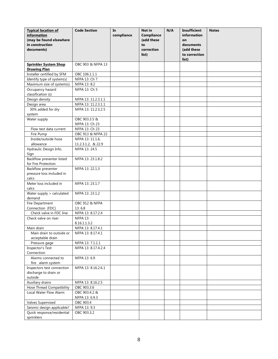| <b>Typical location of</b><br><i>information</i><br>(may be found elsewhere | <b>Code Section</b>             | In<br>compliance | Not in<br><b>Compliance</b><br>(add these | N/A | <b>Insufficient</b><br>information<br>on | <b>Notes</b> |
|-----------------------------------------------------------------------------|---------------------------------|------------------|-------------------------------------------|-----|------------------------------------------|--------------|
| in construction                                                             |                                 |                  | to                                        |     | documents                                |              |
| documents)                                                                  |                                 |                  | correction                                |     | (add these                               |              |
|                                                                             |                                 |                  | list)                                     |     | to correction<br>list)                   |              |
| <b>Sprinkler System Shop</b><br><b>Drawing Plan</b>                         | OBC 903 & NFPA 13               |                  |                                           |     |                                          |              |
| Installer certified by SFM                                                  | OBC 106.1.1.1                   |                  |                                           |     |                                          |              |
| Identify type of system(s)                                                  | NFPA 13: Ch 7                   |                  |                                           |     |                                          |              |
| Maximum size of system(s)                                                   | NFPA 13: 8.2                    |                  |                                           |     |                                          |              |
| Occupancy hazard<br>classification (s)                                      | NFPA 13: Ch 5                   |                  |                                           |     |                                          |              |
| Design density                                                              | NFPA 13: 11.2.3.1.1             |                  |                                           |     |                                          |              |
| Design area                                                                 | NFPA 13: 11.2.3.1.1             |                  |                                           |     |                                          |              |
| 30% added for dry<br>system                                                 | NFPA 13: 11.2.3.2.5             |                  |                                           |     |                                          |              |
| Water supply                                                                | OBC 903.3.5 &                   |                  |                                           |     |                                          |              |
|                                                                             | NFPA 13: Ch 23                  |                  |                                           |     |                                          |              |
| Flow test data current                                                      | NFPA 13: Ch 23                  |                  |                                           |     |                                          |              |
| Fire Pump                                                                   | OBC 913 & NFPA 22               |                  |                                           |     |                                          |              |
| Inside/outside hose                                                         | NFPA 13: 11.1.6,                |                  |                                           |     |                                          |              |
| allowance                                                                   | 11.2.3.1.2, & 22.9              |                  |                                           |     |                                          |              |
| Hydraulic Design Info.<br>Sign                                              | NFPA 13: 24.5                   |                  |                                           |     |                                          |              |
| Backflow preventer listed<br>for Fire Protection                            | NFPA 13: 23.1.8.2               |                  |                                           |     |                                          |              |
| Backflow preventer                                                          | NFPA 13: 22.1.3                 |                  |                                           |     |                                          |              |
| pressure loss included in                                                   |                                 |                  |                                           |     |                                          |              |
| calcs                                                                       |                                 |                  |                                           |     |                                          |              |
| Meter loss included in<br>calcs                                             | NFPA 13: 23.1.7                 |                  |                                           |     |                                          |              |
| Water supply > calculated<br>demand                                         | NFPA 13: 23.1.2                 |                  |                                           |     |                                          |              |
| Fire Department                                                             | OBC 912 & NFPA                  |                  |                                           |     |                                          |              |
| Connection (FDC)                                                            | 13:6.8                          |                  |                                           |     |                                          |              |
| Check valve in FDC line                                                     | NFPA 13: 8.17.2.4               |                  |                                           |     |                                          |              |
| Check valve on riser                                                        | <b>NFPA 13:</b><br>8.16.1.1.3.2 |                  |                                           |     |                                          |              |
| Main drain                                                                  | NFPA 13: 8.17.4.1               |                  |                                           |     |                                          |              |
| Main drain to outside or                                                    | NFPA 13: 8.17.4.1               |                  |                                           |     |                                          |              |
| acceptable drain                                                            |                                 |                  |                                           |     |                                          |              |
| Pressure gage                                                               | NFPA 13: 7.1.1.1                |                  |                                           |     |                                          |              |
| Inspector's Test<br>Connection                                              | NFPA 13: 8.17.4.2.4             |                  |                                           |     |                                          |              |
| Alarms connected to<br>fire alarm system                                    | NFPA 13:6.9                     |                  |                                           |     |                                          |              |
| Inspectors test connection                                                  | NFPA 13: 8.16.2.6.1             |                  |                                           |     |                                          |              |
| discharge to drain or<br>outside                                            |                                 |                  |                                           |     |                                          |              |
| Auxiliary drains                                                            | NFPA 13: 8.16.2.5               |                  |                                           |     |                                          |              |
| Hose Thread Compatibility                                                   | OBC 903.3.6                     |                  |                                           |     |                                          |              |
| Local Water Flow Alarm                                                      | OBC 903.4.2 &                   |                  |                                           |     |                                          |              |
|                                                                             | NFPA 13: 6.9.3                  |                  |                                           |     |                                          |              |
| Valves Supervised                                                           | OBC 903.4                       |                  |                                           |     |                                          |              |
| Seismic design applicable?                                                  | NFPA 13: 9.3                    |                  |                                           |     |                                          |              |
| Quick response/residential                                                  | OBC 903.3.2                     |                  |                                           |     |                                          |              |
| sprinklers                                                                  |                                 |                  |                                           |     |                                          |              |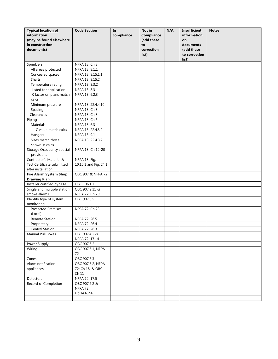| <b>Typical location of</b><br>information<br>(may be found elsewhere<br>in construction<br>documents) | <b>Code Section</b>   | In<br>compliance | Not in<br><b>Compliance</b><br>(add these<br>to<br>correction<br>list) | N/A | <b>Insufficient</b><br>information<br>on<br>documents<br>(add these<br>to correction<br>list) | <b>Notes</b> |
|-------------------------------------------------------------------------------------------------------|-----------------------|------------------|------------------------------------------------------------------------|-----|-----------------------------------------------------------------------------------------------|--------------|
| Sprinklers                                                                                            | NFPA 13: Ch 8         |                  |                                                                        |     |                                                                                               |              |
| All areas protected                                                                                   | NFPA 13: 8.1.1        |                  |                                                                        |     |                                                                                               |              |
| Concealed spaces                                                                                      | NFPA 13: 8.15.1.1     |                  |                                                                        |     |                                                                                               |              |
| Shafts                                                                                                | NFPA 13: 8.15.2       |                  |                                                                        |     |                                                                                               |              |
| Temperature rating                                                                                    | NFPA 13: 8.3.2        |                  |                                                                        |     |                                                                                               |              |
| Listed for application                                                                                | NFPA 13: 8.3          |                  |                                                                        |     |                                                                                               |              |
| K factor on plans match                                                                               | NFPA 13: 6.2.3        |                  |                                                                        |     |                                                                                               |              |
| calcs                                                                                                 |                       |                  |                                                                        |     |                                                                                               |              |
| Minimum pressure                                                                                      | NFPA 13: 22.4.4.10    |                  |                                                                        |     |                                                                                               |              |
| Spacing                                                                                               | NFPA 13: Ch 8         |                  |                                                                        |     |                                                                                               |              |
| Clearances                                                                                            | NFPA 13: Ch 8         |                  |                                                                        |     |                                                                                               |              |
| Piping                                                                                                | NFPA 13: Ch 6         |                  |                                                                        |     |                                                                                               |              |
| Materials                                                                                             | NFPA 13: 6.3          |                  |                                                                        |     |                                                                                               |              |
| C value match calcs                                                                                   | NFPA 13: 22.4.3.2     |                  |                                                                        |     |                                                                                               |              |
| Hangers                                                                                               | NFPA 13: 9.1          |                  |                                                                        |     |                                                                                               |              |
| Sizes match those                                                                                     | NFPA 13: 22.4.3.2     |                  |                                                                        |     |                                                                                               |              |
| shown in calcs                                                                                        |                       |                  |                                                                        |     |                                                                                               |              |
| Storage Occupancy special                                                                             | NFPA 13: Ch 12-20     |                  |                                                                        |     |                                                                                               |              |
| provisions                                                                                            |                       |                  |                                                                        |     |                                                                                               |              |
| Contractor's Material &                                                                               | NFPA 13: Fig.         |                  |                                                                        |     |                                                                                               |              |
| Test Certificate submitted                                                                            | 10.10.1 and Fig. 24.1 |                  |                                                                        |     |                                                                                               |              |
| after installation                                                                                    |                       |                  |                                                                        |     |                                                                                               |              |
| <b>Fire Alarm System Shop</b>                                                                         | OBC 907 & NFPA 72     |                  |                                                                        |     |                                                                                               |              |
| <b>Drawing Plan</b>                                                                                   |                       |                  |                                                                        |     |                                                                                               |              |
| Installer certified by SFM                                                                            | OBC 106.1.1.1         |                  |                                                                        |     |                                                                                               |              |
| Single and multiple station                                                                           | OBC 907.2.11 &        |                  |                                                                        |     |                                                                                               |              |
| smoke alarms                                                                                          | NFPA 72: Ch 29        |                  |                                                                        |     |                                                                                               |              |
| Identify type of system                                                                               | OBC 907.6.5           |                  |                                                                        |     |                                                                                               |              |
| monitoring<br><b>Protected Premises</b>                                                               | NPFA 72: Ch 23        |                  |                                                                        |     |                                                                                               |              |
| (Local)                                                                                               |                       |                  |                                                                        |     |                                                                                               |              |
| <b>Remote Station</b>                                                                                 | NFPA 72: 26.5         |                  |                                                                        |     |                                                                                               |              |
| Proprietary                                                                                           | NFPA 72: 26.4         |                  |                                                                        |     |                                                                                               |              |
| Central Station                                                                                       | NFPA 72: 26.3         |                  |                                                                        |     |                                                                                               |              |
| Manual Pull Boxes                                                                                     | OBC 907.4.2 &         |                  |                                                                        |     |                                                                                               |              |
|                                                                                                       | NFPA 72: 17.14        |                  |                                                                        |     |                                                                                               |              |
| Power Supply                                                                                          | OBC 907.6.2           |                  |                                                                        |     |                                                                                               |              |
| Wiring                                                                                                | OBC 907.6.1, NFPA     |                  |                                                                        |     |                                                                                               |              |
|                                                                                                       | 72                    |                  |                                                                        |     |                                                                                               |              |
| Zones                                                                                                 | OBC 907.6.3           |                  |                                                                        |     |                                                                                               |              |
| Alarm notification                                                                                    | OBC 907.5.2, NFPA     |                  |                                                                        |     |                                                                                               |              |
| appliances                                                                                            | 72: Ch 18, & OBC      |                  |                                                                        |     |                                                                                               |              |
|                                                                                                       | Ch 11                 |                  |                                                                        |     |                                                                                               |              |
| Detectors                                                                                             | NFPA 72: 17.5         |                  |                                                                        |     |                                                                                               |              |
| Record of Completion                                                                                  | OBC 907.7.2 &         |                  |                                                                        |     |                                                                                               |              |
|                                                                                                       | <b>NFPA 72:</b>       |                  |                                                                        |     |                                                                                               |              |
|                                                                                                       | Fig.14.6.2.4          |                  |                                                                        |     |                                                                                               |              |
|                                                                                                       |                       |                  |                                                                        |     |                                                                                               |              |